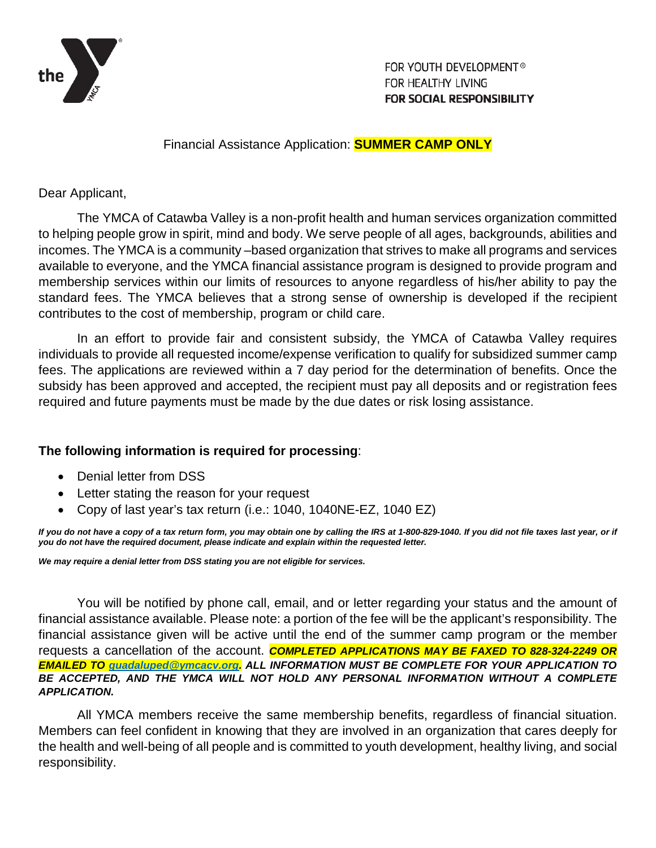

FOR YOUTH DEVELOPMENT<sup>®</sup> FOR HEALTHY LIVING **FOR SOCIAL RESPONSIBILITY** 

Financial Assistance Application: **SUMMER CAMP ONLY**

Dear Applicant,

The YMCA of Catawba Valley is a non-profit health and human services organization committed to helping people grow in spirit, mind and body. We serve people of all ages, backgrounds, abilities and incomes. The YMCA is a community –based organization that strives to make all programs and services available to everyone, and the YMCA financial assistance program is designed to provide program and membership services within our limits of resources to anyone regardless of his/her ability to pay the standard fees. The YMCA believes that a strong sense of ownership is developed if the recipient contributes to the cost of membership, program or child care.

In an effort to provide fair and consistent subsidy, the YMCA of Catawba Valley requires individuals to provide all requested income/expense verification to qualify for subsidized summer camp fees. The applications are reviewed within a 7 day period for the determination of benefits. Once the subsidy has been approved and accepted, the recipient must pay all deposits and or registration fees required and future payments must be made by the due dates or risk losing assistance.

# **The following information is required for processing**:

- Denial letter from DSS
- Letter stating the reason for your request
- Copy of last year's tax return (i.e.: 1040, 1040NE-EZ, 1040 EZ)

If you do not have a copy of a tax return form, you may obtain one by calling the IRS at 1-800-829-1040. If you did not file taxes last year, or if *you do not have the required document, please indicate and explain within the requested letter.*

*We may require a denial letter from DSS stating you are not eligible for services.*

You will be notified by phone call, email, and or letter regarding your status and the amount of financial assistance available. Please note: a portion of the fee will be the applicant's responsibility. The financial assistance given will be active until the end of the summer camp program or the member requests a cancellation of the account. *COMPLETED APPLICATIONS MAY BE FAXED TO 828-324-2249 OR EMAILED TO [guadaluped@ymcacv.org.](mailto:guadaluped@ymcacv.org) ALL INFORMATION MUST BE COMPLETE FOR YOUR APPLICATION TO BE ACCEPTED, AND THE YMCA WILL NOT HOLD ANY PERSONAL INFORMATION WITHOUT A COMPLETE APPLICATION.*

All YMCA members receive the same membership benefits, regardless of financial situation. Members can feel confident in knowing that they are involved in an organization that cares deeply for the health and well-being of all people and is committed to youth development, healthy living, and social responsibility.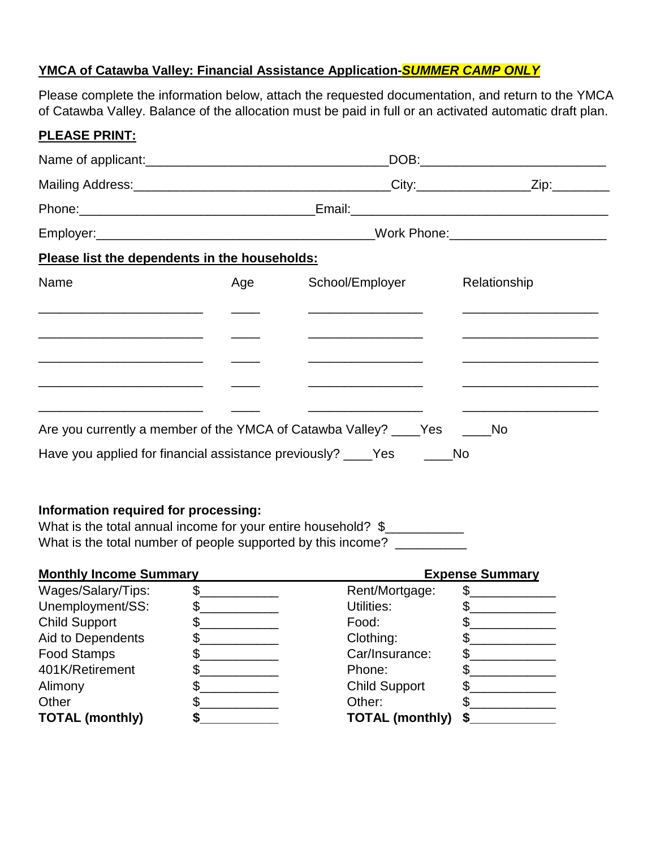## **YMCA of Catawba Valley: Financial Assistance Application-***SUMMER CAMP ONLY*

Please complete the information below, attach the requested documentation, and return to the YMCA of Catawba Valley. Balance of the allocation must be paid in full or an activated automatic draft plan.

| Please list the dependents in the households:                                                                         |     |                                                                            |                                                                                                                        |  |  |  |
|-----------------------------------------------------------------------------------------------------------------------|-----|----------------------------------------------------------------------------|------------------------------------------------------------------------------------------------------------------------|--|--|--|
| Name                                                                                                                  | Age | School/Employer                                                            | Relationship                                                                                                           |  |  |  |
|                                                                                                                       |     |                                                                            |                                                                                                                        |  |  |  |
| <u> 1980 - Jan Barbara Barbara, maso a popular establecidad e a contrador de la contrador de la contrador de la c</u> |     | <u> 1980 - Andrea Andrews, Amerikaansk politik (</u>                       |                                                                                                                        |  |  |  |
|                                                                                                                       |     |                                                                            |                                                                                                                        |  |  |  |
| the contract of the contract of the contract of the contract of the contract of                                       |     | the control of the control of the control of the control of the control of | <u> 1999 - Johann Stein, fransk politiker (d. 1989)</u>                                                                |  |  |  |
|                                                                                                                       |     |                                                                            | <u> 1999 - Johann John Stone, mars et al. 1999 - John Stone, mars et al. 1999 - John Stone, mars et al. 1999 - Joh</u> |  |  |  |
|                                                                                                                       |     | Are you currently a member of the YMCA of Catawba Valley? ____Yes _____No  |                                                                                                                        |  |  |  |
| Have you applied for financial assistance previously? ____Yes ______No                                                |     |                                                                            |                                                                                                                        |  |  |  |

# **Information required for processing:**

**PLEASE PRINT:**

What is the total annual income for your entire household? \$ What is the total number of people supported by this income? \_\_\_\_\_\_\_\_\_\_\_\_\_\_\_\_\_\_\_

| <b>Monthly Income Summary</b> |  |                        | <b>Expense Summary</b> |  |  |
|-------------------------------|--|------------------------|------------------------|--|--|
| Wages/Salary/Tips:            |  | Rent/Mortgage:         |                        |  |  |
| Unemployment/SS:              |  | Utilities:             |                        |  |  |
| <b>Child Support</b>          |  | Food:                  |                        |  |  |
| Aid to Dependents             |  | Clothing:              |                        |  |  |
| <b>Food Stamps</b>            |  | Car/Insurance:         |                        |  |  |
| 401K/Retirement               |  | Phone:                 |                        |  |  |
| Alimony                       |  | <b>Child Support</b>   |                        |  |  |
| Other                         |  | Other:                 |                        |  |  |
| <b>TOTAL (monthly)</b>        |  | <b>TOTAL (monthly)</b> |                        |  |  |